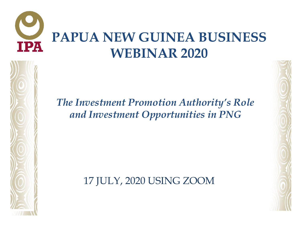#### **PAPUA NEW GUINEA BUSINESS**  TPA **WEBINAR 2020**

#### *The Investment Promotion Authority's Role and Investment Opportunities in PNG*

17 JULY, 2020 USING ZOOM

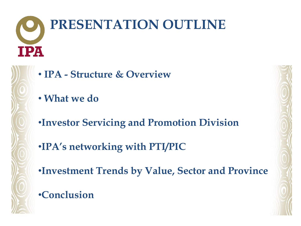## **PRESENTATION OUTLINE TPA**

- **IPA - Structure & Overview**
- **What we do**
- •**Investor Servicing and Promotion Division**
- •**IPA's networking with PTI/PIC**
- •**Investment Trends by Value, Sector and Province**

#### •**Conclusion**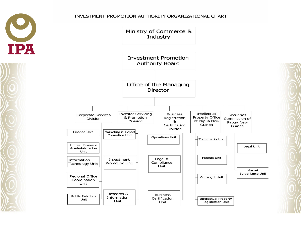#### INVESTMENT PROMOTION AUTHORITY ORGANIZATIONAL CHART



TPA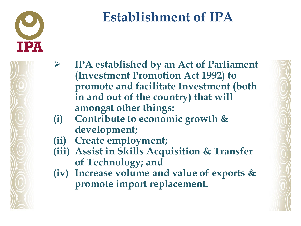

#### **Establishment of IPA**

- **IPA established by an Act of Parliament (Investment Promotion Act 1992) to promote and facilitate Investment (both in and out of the country) that will amongst other things:**
- **(i) Contribute to economic growth & development;**
- **(ii) Create employment;**
- **(iii) Assist in Skills Acquisition & Transfer of Technology; and**
- **(iv) Increase volume and value of exports & promote import replacement.**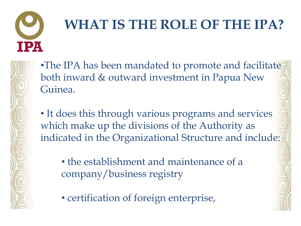

## **WHAT IS THE ROLE OF THE IPA?**

•The IPA has been mandated to promote and facilitate both inward & outward investment in Papua New Guinea.

• It does this through various programs and services which make up the divisions of the Authority as indicated in the Organizational Structure and include:

• the establishment and maintenance of a company/business registry

• certification of foreign enterprise,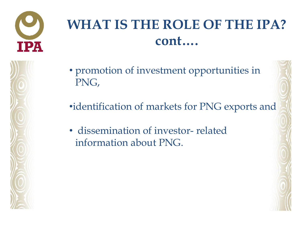

#### **WHAT IS THE ROLE OF THE IPA? cont….**

- promotion of investment opportunities in PNG,
- •identification of markets for PNG exports and
- dissemination of investor- related information about PNG.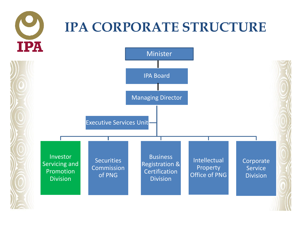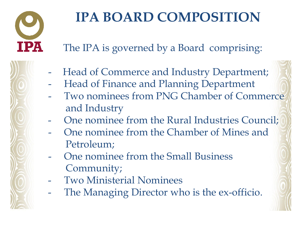

### **IPA BOARD COMPOSITION**

The IPA is governed by a Board comprising:

- Head of Commerce and Industry Department;
- Head of Finance and Planning Department
- Two nominees from PNG Chamber of Commerce and Industry
- One nominee from the Rural Industries Council;
- One nominee from the Chamber of Mines and Petroleum;
- One nominee from the Small Business Community;
- Two Ministerial Nominees
- The Managing Director who is the ex-officio.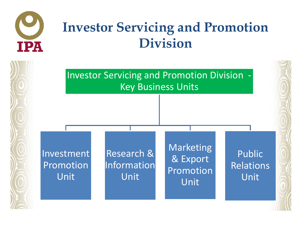

#### **Investor Servicing and Promotion Division**

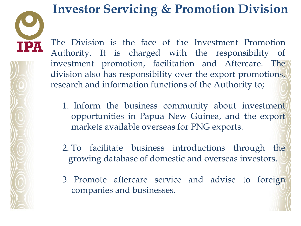IPA

#### **Investor Servicing & Promotion Division**

The Division is the face of the Investment Promotion Authority. It is charged with the responsibility of investment promotion, facilitation and Aftercare. The division also has responsibility over the export promotions, research and information functions of the Authority to;

1. Inform the business community about investment opportunities in Papua New Guinea, and the export markets available overseas for PNG exports.

2. To facilitate business introductions through the growing database of domestic and overseas investors.

3. Promote aftercare service and advise to foreign companies and businesses.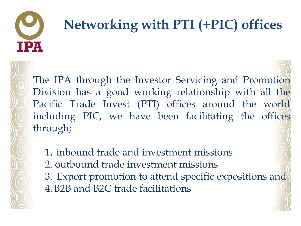# IIPA

## **Networking with PTI (+PIC) offices**

The IPA through the Investor Servicing and Promotion Division has a good working relationship with all the Pacific Trade Invest (PTI) offices around the world including PIC, we have been facilitating the offices through;

- **1.** inbound trade and investment missions
- 2. outbound trade investment missions
- 3. Export promotion to attend specific expositions and 4.B2B and B2C trade facilitations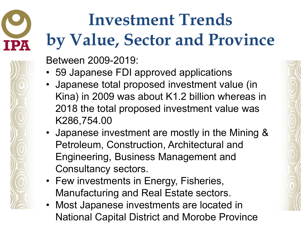## **Investment Trends by Value, Sector and Province**

Between 2009-2019:

- 59 Japanese FDI approved applications
- Japanese total proposed investment value (in Kina) in 2009 was about K1.2 billion whereas in 2018 the total proposed investment value was K286,754.00
- Japanese investment are mostly in the Mining & Petroleum, Construction, Architectural and Engineering, Business Management and Consultancy sectors.
- Few investments in Energy, Fisheries, Manufacturing and Real Estate sectors.
- Most Japanese investments are located in National Capital District and Morobe Province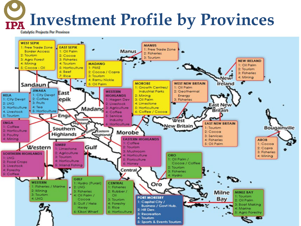## **Investment Profile by Provinces**

**Catalytic Projects Per Province** 

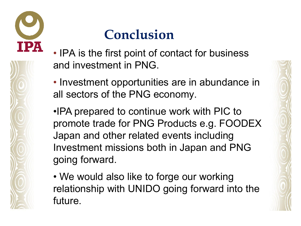

#### **Conclusion**

- IPA is the first point of contact for business and investment in PNG.
- Investment opportunities are in abundance in all sectors of the PNG economy.
- •IPA prepared to continue work with PIC to promote trade for PNG Products e.g. FOODEX Japan and other related events including Investment missions both in Japan and PNG going forward.
- We would also like to forge our working relationship with UNIDO going forward into the future.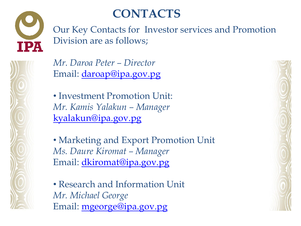

#### **CONTACTS**

Our Key Contacts for Investor services and Promotion Division are as follows;

*Mr. Daroa Peter – Director*  Email: [daroap@ipa.gov.pg](mailto:daroap@ipa.gov.pg)

• Investment Promotion Unit: *Mr. Kamis Yalakun – Manager* [kyalakun@ipa.gov.pg](mailto:kyalakun@ipa.gov.pg)

• Marketing and Export Promotion Unit *Ms. Daure Kiromat – Manager*  Email: [dkiromat@ipa.gov.pg](mailto:dkiromat@ipa.gov.pg)

• Research and Information Unit *Mr. Michael George*  Email: [mgeorge@ipa.gov.pg](mailto:mgeorge@ipa.gov.pg)